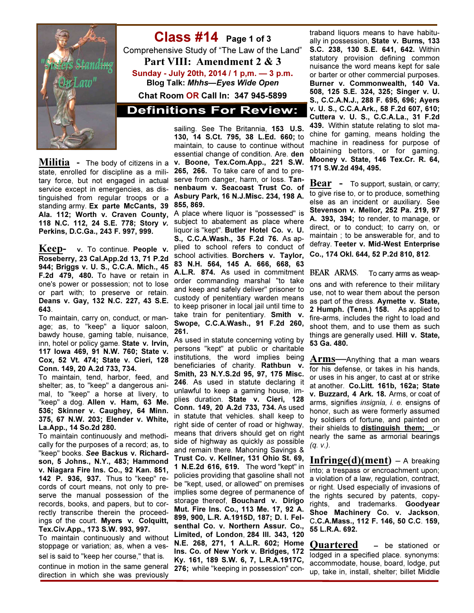

Class #14 Page 1 of 3 Comprehensive Study of "The Law of the Land" Part VIII: Amendment 2 & 3 Sunday - July 20th, 2014 / 1 p,m. — 3 p.m. Blog Talk: Mhhs—Eyes Wide Open Chat Room OR Call In: 347 945-5899

**Definitions For Review:** 

Militia - The body of citizens in a state, enrolled for discipline as a military force, but not engaged in actual service except in emergencies, as distinguished from regular troops or a standing army. Ex parte McCants, 39 Ala. 112; Worth v. Craven County, 118 N.C. 112, 24 S.E. 778; Story v. Perkins, D.C.Ga., 243 F. 997, 999.

Keep- v. To continue. People v. Roseberry, 23 Cal.App.2d 13, 71 P.2d 944; Briggs v. U. S., C.C.A. Mich., 45 F.2d 479, 480. To have or retain in one's power or possession; not to lose or part with; to preserve or retain. Deans v. Gay, 132 N.C. 227, 43 S.E. 643.

To maintain, carry on, conduct, or manage; as, to "keep" a liquor saloon, bawdy house, gaming table, nuisance, inn, hotel or policy game. State v. Irvin, 117 Iowa 469, 91 N.W. 760; State v. Cox, 52 Vt. 474; State v. Cieri, 128 Conn. 149, 20 A.2d 733, 734.

To maintain, tend, harbor, feed, and shelter; as, to "keep" a dangerous animal, to "keep" a horse at livery, to "keep" a dog. Allen v. Ham, 63 Me. 536; Skinner v. Caughey, 64 Minn. 375, 67 N.W. 203; Elender v. White, La.App., 14 So.2d 280.

To maintain continuously and methodically for the purposes of a record; as, to "keep" books. See Backus v. Richardson, 5 Johns., N.Y., 483; Hammond v. Niagara Fire Ins. Co., 92 Kan. 851, 142 P. 936, 937. Thus to "keep" records of court means, not only to preserve the manual possession of the records, books, and papers, but to correctly transcribe therein the proceedings of the court. Myers v. Colquitt, Tex.Civ.App., 173 S.W. 993, 997.

To maintain continuously and without stoppage or variation; as, when a vessel is said to "keep her course," that is, continue in motion in the same general direction in which she was previously

sailing. See The Britannia, 153 U.S. 130, 14 S.Ct. 795, 38 L.Ed. 660; to maintain, to cause to continue without essential change of condition. Are. den v. Boone, Tex.Com.App., 221 S.W. 265, 266. To take care of and to preserve from danger, harm, or loss. Tannenbaum v. Seacoast Trust Co. of Asbury Park, 16 N.J.Misc. 234, 198 A. 855, 869.

A place where liquor is "possessed" is subject to abatement as place where liquor is "kept". Butler Hotel Co. v. U. S., C.C.A.Wash., 35 F.2d 76. As applied to school refers to conduct of school activities. Borchers v. Taylor, 83 N.H. 564, 145 A. 666, 668, 63 A.L.R. 874. As used in commitment BEAR ARMS. order commanding marshal "to take and keep and safely deliver" prisoner to custody of penitentiary warden means to keep prisoner in local jail until time to take train for penitentiary. Smith v. Swope, C.C.A.Wash., 91 F.2d 260, 261.

As used in statute concerning voting by persons "kept" at public or charitable institutions, the word implies being beneficiaries of charity. Rathbun v. Smith, 23 N.Y.S.2d 95, 97, 175 Misc. 246. As used in statute declaring it unlawful to keep a gaming house, implies duration. State v. Cieri, 128 Conn. 149, 20 A.2d 733, 734. As used in statute that vehicles. shall keep to right side of center of road or highway, means that drivers should get on right side of highway as quickly as possible and remain there. Mahoning Savings & Trust Co. v. Kellner, 131 Ohio St. 69, 1 N.E.2d 616, 619. The word "kept" in policies providing that gasoline shall not be "kept, used, or allowed" on premises implies some degree of permanence of storage thereof. Bouchard v. Dirigo Mut. Fire Ins. Co., 113 Me. 17, 92 A. 899, 900, L.R. A.1915D, 187; D. I. Felsenthal Co. v. Northern Assur. Co., Limited, of London, 284 Ill. 343, 120 N.E. 268, 271, 1 A.L.R. 602; Home Ins. Co. of New York v. Bridges, 172 Ky. 161, 189 S.W. 6, 7, L.R.A.1917C, 276; while "keeping in possession" con-

traband liquors means to have habitually in possession, State v. Burns, 133 S.C. 238, 130 S.E. 641, 642. Within statutory provision defining common nuisance the word means kept for sale or barter or other commercial purposes. Burner v. Commonwealth, 140 Va. 508, 125 S.E. 324, 325; Singer v. U. S., C.C.A.N.J., 288 F. 695, 696; Ayers v. U. S., C.C.A.Ark., 58 F.2d 607, 610; Cuttera v. U. S., C.C.A.La., 31 F.2d 439. Within statute relating to slot machine for gaming, means holding the machine in readiness for purpose of obtaining bettors, or for gaming. Mooney v. State, 146 Tex.Cr. R. 64, 171 S.W.2d 494, 495.

**Bear** - To support, sustain, or carry; to give rise to, or to produce, something else as an incident or auxiliary. See Stevenson v. Mellor, 252 Pa. 219, 97 A. 393, 394; to render, to manage, or direct, or to conduct; to carry on, or maintain ; to be answerable for, and to defray. Teeter v. Mid-West Enterprise Co., 174 Okl. 644, 52 P.2d 810, 812.

To carry arms as weapons and with reference to their military use, not to wear them about the person as part of the dress. Aymette v. State, 2 Humph. (Tenn.) 158. As applied to fire-arms, includes the right to load and shoot them, and to use them as such things are generally used. Hill v. State, 53 Ga. 480.

Arms-Anything that a man wears for his defense, or takes in his hands, or uses in his anger, to cast at or strike at another. Co.Litt. 161b, 162a; State v. Buzzard, 4 Ark. 18. Arms, or coat of arms, signifies insignia, i. e. ensigns of honor, such as were formerly assumed by soldiers of fortune, and painted on their shields to distinguish them; or nearly the same as armorial bearings  $(q. v.).$ 

 $In fringe(d)(ment) - A breaking$ into; a trespass or encroachment upon; a violation of a law, regulation, contract, or right. Used especially of invasions of the rights secured by patents, copyrights, and trademarks. Goodyear Shoe Machinery Co. v. Jackson, C.C.A.Mass., 112 F. 146, 50 C.C. 159, 55 L.R.A. 692.

Quartered – be stationed or lodged in a specified place. synonyms: accommodate, house, board, lodge, put up, take in, install, shelter; billet Middle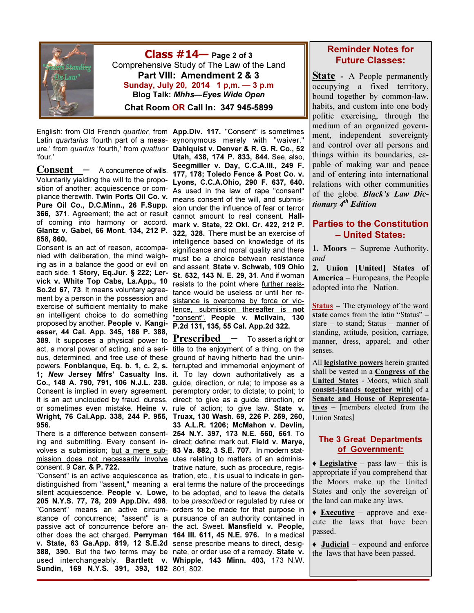

**Class**  $\#14$  Page 2 of 3 Comprehensive Study of The Law of the Land Part VIII: Amendment 2 & 3 Sunday, July 20, 2014 1 p,m. — 3 p.m Blog Talk: Mhhs—Eyes Wide Open

Chat Room OR Call In: 347 945-5899

'four.'

 $$ Voluntarily yielding the will to the proposition of another; acquiescence or compliance therewith. Twin Ports Oil Co. v. Pure Oil Co., D.C.Minn., 26 F.Supp. 366, 371. Agreement; the act or result of coming into harmony or accord. Glantz v. Gabel, 66 Mont. 134, 212 P. 858, 860.

Consent is an act of reason, accompanied with deliberation, the mind weighing as in a balance the good or evil on each side. 1 Story, Eq.Jur. § 222; Lervick v. White Top Cabs, La.App., 10 So.2d 67, 73. It means voluntary agreement by a person in the possession and exercise of sufficient mentality to make an intelligent choice to do something proposed by another. People v. Kangiesser, 44 Cal. App. 345, 186 P. 388, 389. It supposes a physical power to act, a moral power of acting, and a serious, determined, and free use of these powers. Fonblanque, Eq. b. 1, c. 2, s. terrupted and immemorial enjoyment of 1; New Jersey Mfrs' Casualty Ins. it. To lay down authoritatively as a Co., 148 A. 790, 791, 106 N.J.L. 238. guide, direction, or rule; to impose as a Consent is implied in every agreement. peremptory order; to dictate; to point; to It is an act unclouded by fraud, duress, direct; to give as a guide, direction, or or sometimes even mistake. Heine v. rule of action; to give law. State v. Wright, 76 Cal.App. 338, 244 P. 955, Truax, 130 Wash. 69, 226 P. 259, 260, 956.

There is a difference between consent-254 N.Y. 397, 173 N.E. 560, 561. To ing and submitting. Every consent in- direct; define; mark out. Field v. Marye, volves a submission; <u>but a mere sub-</u> 83 Va. 882, 3 S.E. 707. In modern statmission does not necessarily involve utes relating to matters of an adminisconsent. 9 Car. & P. 722.

distinguished from "assent," meaning a eral terms the nature of the proceedings silent acquiescence. People v. Lowe, to be adopted, and to leave the details 205 N.Y.S. 77, 78, 209 App.Div. 498. to be *prescribed* or regulated by rules or "Consent" means an active circum-orders to be made for that purpose in stance of concurrence; "assent" is a pursuance of an authority contained in passive act of concurrence before an-the act. Sweet. Mansfield v. People, other does the act charged. Perryman 164 Ill. 611, 45 N.E. 976. In a medical v. State, 63 Ga.App. 819, 12 S.E.2d sense prescribe means to direct, desig-**388, 390.** But the two terms may be nate, or order use of a remedy. State v. used interchangeably. Bartlett v. Whipple, 143 Minn. 403, 173 N.W. Sundin, 169 N.Y.S. 391, 393, 182 801, 802.

English: from Old French *quartier*, from App.Div. 117. "Consent" is sometimes Latin *quartarius* 'fourth part of a meas- synonymous merely with "waiver." ure,' from quartus 'fourth,' from quattuor Dahlquist v. Denver & R. G. R. Co., 52 Utah, 438, 174 P. 833, 844. See, also, Seegmiller v. Day, C.C.A.Ill., 249 F. 177, 178; Toledo Fence & Post Co. v. Lyons, C.C.A.Ohio, 290 F. 637, 640. As used in the law of rape "consent" means consent of the will, and submission under the influence of fear or terror cannot amount to real consent. Hallmark v. State, 22 Okl. Cr. 422, 212 P. 322, 328. There must be an exercise of intelligence based on knowledge of its significance and moral quality and there must be a choice between resistance and assent. State v. Schwab, 109 Ohio St. 532, 143 N. E. 29, 31. And if woman resists to the point where further resistance would be useless or until her resistance is overcome by force or violence, submission thereafter is not "consent". People v. Mcllvain, 130 P.2d 131, 135, 55 Cal. App.2d 322.

"Consent" is an active acquiescence as tration, etc., it is usual to indicate in gen-**Prescribed**  $\_\_$  To assert a right or title to the enjoyment of a thing, on the ground of having hitherto had the unin-33 A.L.R. 1206; McMahon v. Devlin, trative nature, such as procedure, regis-

#### Reminder Notes for Future Classes:

**State** - A People permanently occupying a fixed territory, bound together by common-law, habits, and custom into one body politic exercising, through the medium of an organized government, independent sovereignty and control over all persons and things within its boundaries, capable of making war and peace and of entering into international relations with other communities of the globe. Black's Law Dictionary 4<sup>th</sup> Edition

### Parties to the Constitution – United States:

1. Moors – Supreme Authority, and

2. Union [United] States of America – Europeans, the People adopted into the Nation.

Status – The etymology of the word state comes from the latin "Status" – stare – to stand; Status – manner of standing, attitude, position, carriage, manner, dress, apparel; and other senses.

All legislative powers herein granted shall be vested in a Congress of the United States - Moors, which shall consist-[stands together with] of a Senate and House of Representatives – [members elected from the Union States]

#### The 3 Great Departments of Government:

 $\triangle$  Legislative – pass law – this is appropriate if you comprehend that the Moors make up the United States and only the sovereign of the land can make any laws.

 $\triangle$  **Executive** – approve and execute the laws that have been passed.

 $\rightarrow$  Judicial – expound and enforce the laws that have been passed.